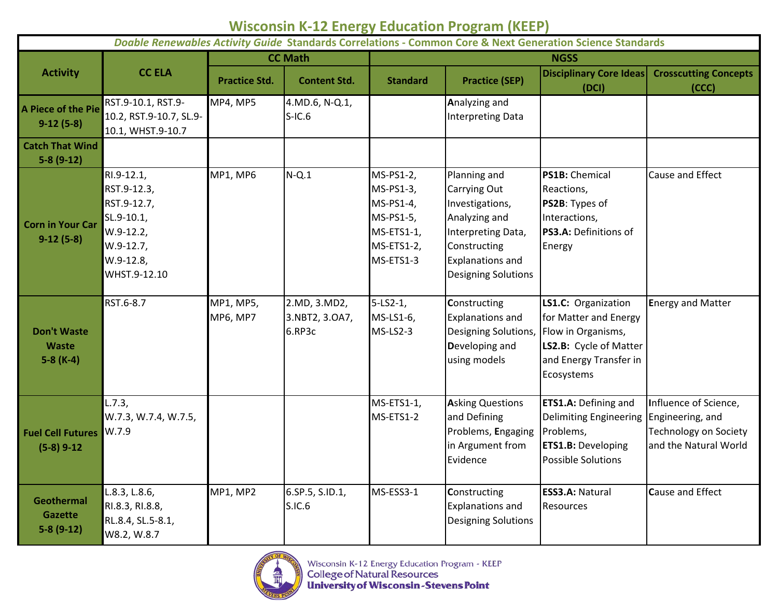## **Wisconsin K-12 Energy Education Program (KEEP)**

| Doable Renewables Activity Guide Standards Correlations - Common Core & Next Generation Science Standards |                                                                                                                 |                              |                                          |                                                                                           |                                                                                                                                                                 |                                                                                                                                               |                                                                                |  |
|-----------------------------------------------------------------------------------------------------------|-----------------------------------------------------------------------------------------------------------------|------------------------------|------------------------------------------|-------------------------------------------------------------------------------------------|-----------------------------------------------------------------------------------------------------------------------------------------------------------------|-----------------------------------------------------------------------------------------------------------------------------------------------|--------------------------------------------------------------------------------|--|
|                                                                                                           | <b>CC ELA</b>                                                                                                   | <b>CC Math</b>               |                                          | <b>NGSS</b>                                                                               |                                                                                                                                                                 |                                                                                                                                               |                                                                                |  |
| <b>Activity</b>                                                                                           |                                                                                                                 | <b>Practice Std.</b>         | <b>Content Std.</b>                      | <b>Standard</b>                                                                           | <b>Practice (SEP)</b>                                                                                                                                           | <b>Disciplinary Core Ideas</b><br>(DCI)                                                                                                       | <b>Crosscutting Concepts</b><br>(CCC)                                          |  |
| A Piece of the Pie<br>$9-12(5-8)$                                                                         | RST.9-10.1, RST.9-<br>10.2, RST.9-10.7, SL.9-<br>10.1, WHST.9-10.7                                              | <b>MP4, MP5</b>              | 4.MD.6, N-Q.1,<br>$S-IC.6$               |                                                                                           | Analyzing and<br><b>Interpreting Data</b>                                                                                                                       |                                                                                                                                               |                                                                                |  |
| <b>Catch That Wind</b><br>$5-8(9-12)$                                                                     |                                                                                                                 |                              |                                          |                                                                                           |                                                                                                                                                                 |                                                                                                                                               |                                                                                |  |
| <b>Corn in Your Car</b><br>$9-12(5-8)$                                                                    | RI.9-12.1,<br>RST.9-12.3,<br>RST.9-12.7,<br>SL.9-10.1,<br>$W.9-12.2,$<br>W.9-12.7,<br>W.9-12.8,<br>WHST.9-12.10 | <b>MP1, MP6</b>              | $N-Q.1$                                  | MS-PS1-2,<br>MS-PS1-3,<br>MS-PS1-4,<br>MS-PS1-5,<br>MS-ETS1-1,<br>MS-ETS1-2,<br>MS-ETS1-3 | Planning and<br>Carrying Out<br>Investigations,<br>Analyzing and<br>Interpreting Data,<br>Constructing<br><b>Explanations and</b><br><b>Designing Solutions</b> | <b>PS1B: Chemical</b><br>Reactions,<br><b>PS2B:</b> Types of<br>Interactions,<br>PS3.A: Definitions of<br>Energy                              | Cause and Effect                                                               |  |
| <b>Don't Waste</b><br><b>Waste</b><br>$5-8$ (K-4)                                                         | RST.6-8.7                                                                                                       | MP1, MP5,<br><b>MP6, MP7</b> | 2.MD, 3.MD2,<br>3.NBT2, 3.OA7,<br>6.RP3c | $5 - LS2 - 1,$<br>MS-LS1-6,<br>MS-LS2-3                                                   | Constructing<br><b>Explanations and</b><br>Designing Solutions,<br>Developing and<br>using models                                                               | LS1.C: Organization<br>for Matter and Energy<br>Flow in Organisms,<br>LS2.B: Cycle of Matter<br>and Energy Transfer in<br>Ecosystems          | <b>Energy and Matter</b>                                                       |  |
| <b>Fuel Cell Futures</b><br>$(5-8)$ 9-12                                                                  | L.7.3,<br>W.7.3, W.7.4, W.7.5,<br>W.7.9                                                                         |                              |                                          | MS-ETS1-1,<br>MS-ETS1-2                                                                   | <b>Asking Questions</b><br>and Defining<br>Problems, Engaging<br>in Argument from<br>Evidence                                                                   | <b>ETS1.A: Defining and</b><br>Delimiting Engineering Engineering, and<br>Problems,<br><b>ETS1.B: Developing</b><br><b>Possible Solutions</b> | Influence of Science,<br><b>Technology on Society</b><br>and the Natural World |  |
| <b>Geothermal</b><br>Gazette<br>$5-8(9-12)$                                                               | L.8.3, L.8.6,<br>RI.8.3, RI.8.8,<br>RL.8.4, SL.5-8.1,<br>W8.2, W.8.7                                            | <b>MP1, MP2</b>              | 6.SP.5, S.ID.1,<br>S.IC.6                | MS-ESS3-1                                                                                 | Constructing<br><b>Explanations and</b><br><b>Designing Solutions</b>                                                                                           | <b>ESS3.A: Natural</b><br>Resources                                                                                                           | <b>Cause and Effect</b>                                                        |  |

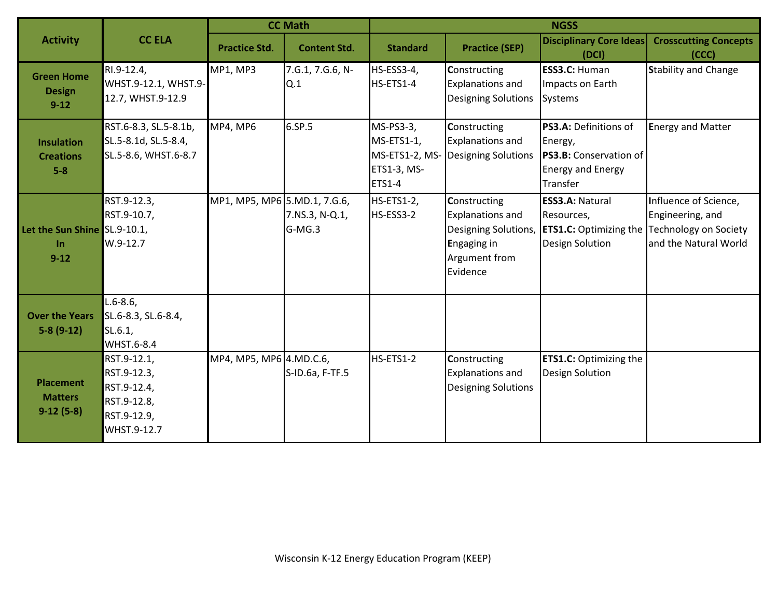| <b>Activity</b>                                   | <b>CC ELA</b>                                                                          | <b>CC Math</b>               |                          | <b>NGSS</b>                                             |                                                                                                                    |                                                                                                    |                                                                                                    |
|---------------------------------------------------|----------------------------------------------------------------------------------------|------------------------------|--------------------------|---------------------------------------------------------|--------------------------------------------------------------------------------------------------------------------|----------------------------------------------------------------------------------------------------|----------------------------------------------------------------------------------------------------|
|                                                   |                                                                                        | <b>Practice Std.</b>         | <b>Content Std.</b>      | <b>Standard</b>                                         | <b>Practice (SEP)</b>                                                                                              | <b>Disciplinary Core Ideas</b><br>(DCI)                                                            | <b>Crosscutting Concepts</b><br>(CCC)                                                              |
| <b>Green Home</b><br><b>Design</b><br>$9 - 12$    | RI.9-12.4,<br>WHST.9-12.1, WHST.9-<br>12.7, WHST.9-12.9                                | <b>MP1, MP3</b>              | 7.G.1, 7.G.6, N-<br>Q.1  | HS-ESS3-4,<br>HS-ETS1-4                                 | Constructing<br><b>Explanations and</b><br><b>Designing Solutions</b>                                              | <b>ESS3.C: Human</b><br>Impacts on Earth<br><b>Systems</b>                                         | <b>Stability and Change</b>                                                                        |
| <b>Insulation</b><br><b>Creations</b><br>$5-8$    | RST.6-8.3, SL.5-8.1b,<br>SL.5-8.1d, SL.5-8.4,<br>SL.5-8.6, WHST.6-8.7                  | <b>MP4, MP6</b>              | 6.SP.5                   | MS-PS3-3,<br>MS-ETS1-1,<br>ETS1-3, MS-<br><b>ETS1-4</b> | Constructing<br><b>Explanations and</b><br>MS-ETS1-2, MS- Designing Solutions                                      | PS3.A: Definitions of<br>Energy,<br>PS3.B: Conservation of<br><b>Energy and Energy</b><br>Transfer | <b>Energy and Matter</b>                                                                           |
| Let the Sun Shine SL.9-10.1,<br>$\ln$<br>$9 - 12$ | RST.9-12.3,<br>RST.9-10.7,<br>$W.9-12.7$                                               | MP1, MP5, MP6 5.MD.1, 7.G.6, | 7.NS.3, N-Q.1,<br>G-MG.3 | HS-ETS1-2,<br>HS-ESS3-2                                 | Constructing<br><b>Explanations and</b><br>Designing Solutions,<br><b>Engaging in</b><br>Argument from<br>Evidence | <b>ESS3.A: Natural</b><br>Resources,<br><b>ETS1.C: Optimizing the</b><br><b>Design Solution</b>    | Influence of Science,<br>Engineering, and<br><b>Technology on Society</b><br>and the Natural World |
| <b>Over the Years</b><br>$5-8(9-12)$              | $L.6-8.6$<br>SL.6-8.3, SL.6-8.4,<br>SL.6.1<br><b>WHST.6-8.4</b>                        |                              |                          |                                                         |                                                                                                                    |                                                                                                    |                                                                                                    |
| <b>Placement</b><br><b>Matters</b><br>$9-12(5-8)$ | RST.9-12.1,<br>RST.9-12.3,<br>RST.9-12.4,<br>RST.9-12.8,<br>RST.9-12.9,<br>WHST.9-12.7 | MP4, MP5, MP6 4.MD.C.6,      | S-ID.6a, F-TF.5          | <b>HS-ETS1-2</b>                                        | Constructing<br><b>Explanations and</b><br><b>Designing Solutions</b>                                              | <b>ETS1.C: Optimizing the</b><br><b>Design Solution</b>                                            |                                                                                                    |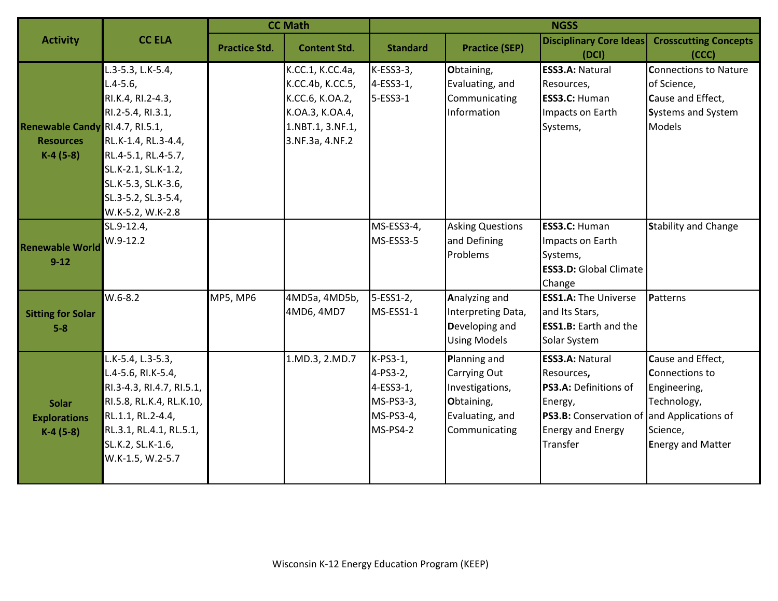| <b>Activity</b>                                                   | <b>CC ELA</b>                                                                                                                                                                                                     | <b>CC Math</b>       |                                                                                                                   | <b>NGSS</b>                                                                    |                                                                                                   |                                                                                                                                                                       |                                                                                                                   |
|-------------------------------------------------------------------|-------------------------------------------------------------------------------------------------------------------------------------------------------------------------------------------------------------------|----------------------|-------------------------------------------------------------------------------------------------------------------|--------------------------------------------------------------------------------|---------------------------------------------------------------------------------------------------|-----------------------------------------------------------------------------------------------------------------------------------------------------------------------|-------------------------------------------------------------------------------------------------------------------|
|                                                                   |                                                                                                                                                                                                                   | <b>Practice Std.</b> | <b>Content Std.</b>                                                                                               | <b>Standard</b>                                                                | <b>Practice (SEP)</b>                                                                             | <b>Disciplinary Core Ideas</b><br>(DCI)                                                                                                                               | <b>Crosscutting Concepts</b><br>(CCC)                                                                             |
| Renewable Candy RI.4.7, RI.5.1,<br><b>Resources</b><br>$K-4(5-8)$ | L.3-5.3, L.K-5.4,<br>$L.4 - 5.6$<br>RI.K.4, RI.2-4.3,<br>RI.2-5.4, RI.3.1,<br>RL.K-1.4, RL.3-4.4,<br>RL.4-5.1, RL.4-5.7,<br>SL.K-2.1, SL.K-1.2,<br>SL.K-5.3, SL.K-3.6,<br>SL.3-5.2, SL.3-5.4,<br>W.K-5.2, W.K-2.8 |                      | K.CC.1, K.CC.4a,<br>K.CC.4b, K.CC.5,<br>K.CC.6, K.OA.2,<br>K.OA.3, K.OA.4,<br>1.NBT.1, 3.NF.1,<br>3.NF.3a, 4.NF.2 | $K-ESS3-3$ ,<br>$4-ESS3-1$ ,<br>5-ESS3-1                                       | Obtaining,<br>Evaluating, and<br>Communicating<br>Information                                     | <b>ESS3.A: Natural</b><br>Resources,<br><b>ESS3.C: Human</b><br>Impacts on Earth<br>Systems,                                                                          | <b>Connections to Nature</b><br>of Science,<br>Cause and Effect,<br><b>Systems and System</b><br>Models           |
| <b>Renewable World</b><br>$9 - 12$                                | SL.9-12.4,<br>$W.9-12.2$                                                                                                                                                                                          |                      |                                                                                                                   | MS-ESS3-4,<br>MS-ESS3-5                                                        | <b>Asking Questions</b><br>and Defining<br>Problems                                               | <b>ESS3.C: Human</b><br>Impacts on Earth<br>Systems,<br><b>ESS3.D: Global Climate</b><br>Change                                                                       | <b>Stability and Change</b>                                                                                       |
| <b>Sitting for Solar</b><br>$5-8$                                 | $W.6 - 8.2$                                                                                                                                                                                                       | <b>MP5, MP6</b>      | 4MD5a, 4MD5b,<br>4MD6, 4MD7                                                                                       | $5-ESS1-2,$<br>MS-ESS1-1                                                       | Analyzing and<br>Interpreting Data,<br>Developing and<br><b>Using Models</b>                      | <b>ESS1.A: The Universe</b><br>and Its Stars,<br><b>ESS1.B:</b> Earth and the<br>Solar System                                                                         | Patterns                                                                                                          |
| <b>Solar</b><br><b>Explorations</b><br>$K-4(5-8)$                 | L.K-5.4, L.3-5.3,<br>L.4-5.6, RI.K-5.4,<br>RI.3-4.3, RI.4.7, RI.5.1,<br>RI.5.8, RL.K.4, RL.K.10,<br>RL.1.1, RL.2-4.4,<br>RL.3.1, RL.4.1, RL.5.1,<br>SL.K.2, SL.K-1.6,<br>W.K-1.5, W.2-5.7                         |                      | 1.MD.3, 2.MD.7                                                                                                    | K-PS3-1,<br>4-PS3-2,<br>4-ESS3-1,<br>MS-PS3-3,<br>MS-PS3-4,<br><b>MS-PS4-2</b> | Planning and<br>Carrying Out<br>Investigations,<br>Obtaining,<br>Evaluating, and<br>Communicating | <b>ESS3.A: Natural</b><br>Resources,<br>PS3.A: Definitions of<br>Energy,<br><b>PS3.B:</b> Conservation of and Applications of<br><b>Energy and Energy</b><br>Transfer | Cause and Effect,<br><b>Connections to</b><br>Engineering,<br>Technology,<br>Science,<br><b>Energy and Matter</b> |